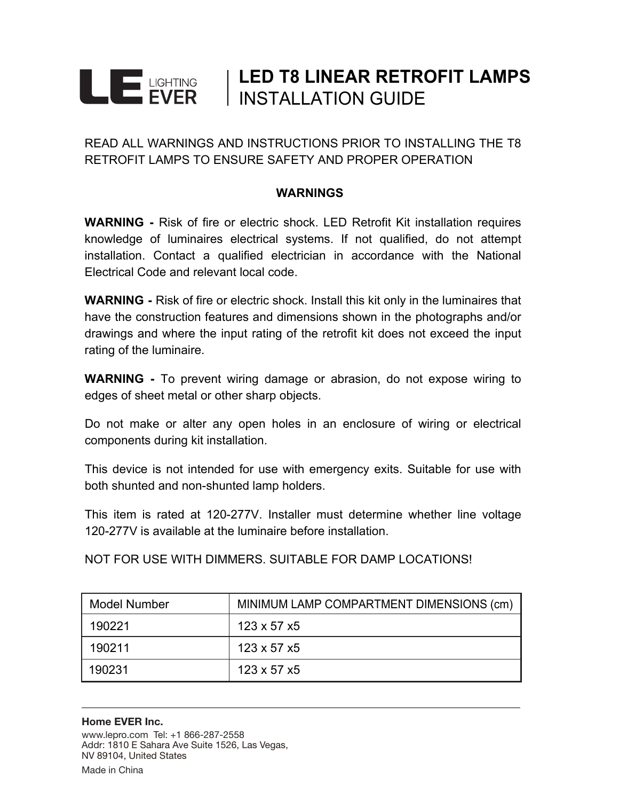## **LED T8 LINEAR RETROFIT LAMPS LE ENER** INSTALLATION GUIDE

READ ALL WARNINGS AND INSTRUCTIONS PRIOR TO INSTALLING THE T8 RETROFIT LAMPS TO ENSURE SAFETY AND PROPER OPERATION

#### **WARNINGS**

**WARNING -** Risk of fire or electric shock. LED Retrofit Kit installation requires knowledge of luminaires electrical systems. If not qualified, do not attempt installation. Contact a qualified electrician in accordance with the National Electrical Code and relevant local code.

**WARNING -** Risk of fire or electric shock. Install this kit only in the luminaires that have the construction features and dimensions shown in the photographs and/or drawings and where the input rating of the retrofit kit does not exceed the input rating of the luminaire.

**WARNING -** To prevent wiring damage or abrasion, do not expose wiring to edges of sheet metal or other sharp objects.

Do not make or alter any open holes in an enclosure of wiring or electrical components during kit installation.

This device is not intended for use with emergency exits. Suitable for use with both shunted and non-shunted lamp holders.

This item is rated at 120-277V. Installer must determine whether line voltage 120-277V is available at the luminaire before installation.

NOT FOR USE WITH DIMMERS. SUITABLE FOR DAMP LOCATIONS!

| <b>Model Number</b> | MINIMUM LAMP COMPARTMENT DIMENSIONS (cm) |
|---------------------|------------------------------------------|
| 190221              | 123 x 57 x5                              |
| 190211              | 123 x 57 x5                              |
| 190231              | 123 x 57 x5                              |

#### Home EVER Inc.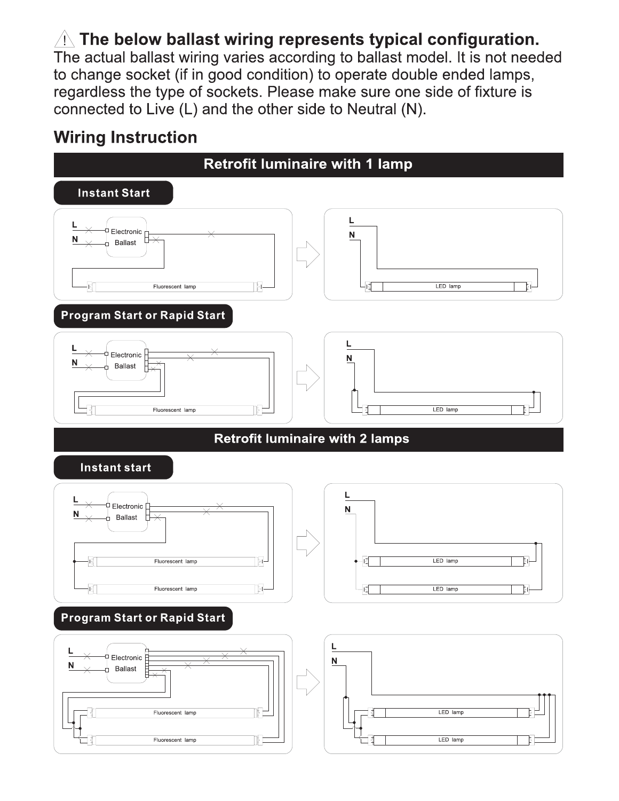# $\triangle$  The below ballast wiring represents typical configuration.

The actual ballast wiring varies according to ballast model. It is not needed to change socket (if in good condition) to operate double ended lamps, regardless the type of sockets. Please make sure one side of fixture is connected to Live (L) and the other side to Neutral (N).

# **Wiring Instruction**